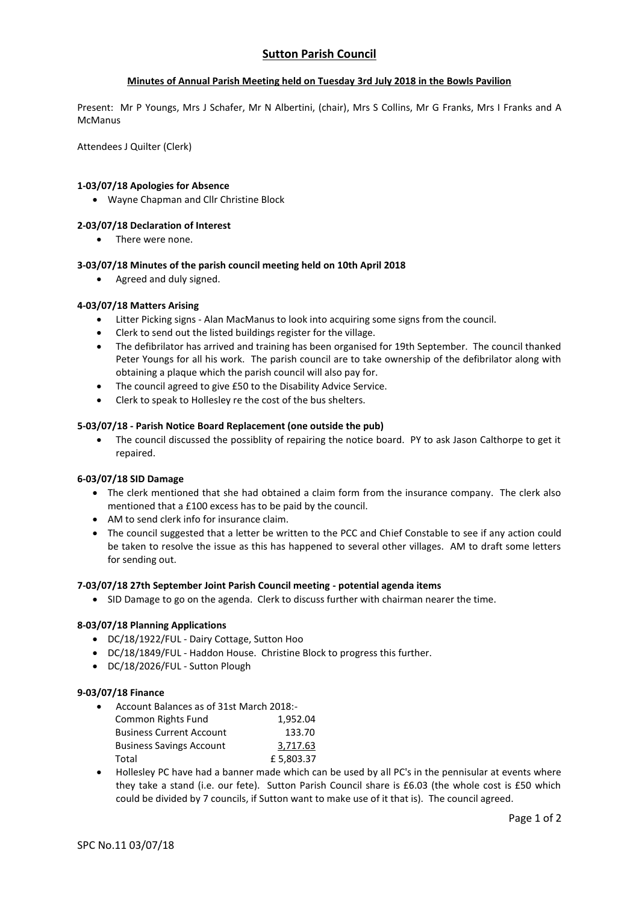# **Sutton Parish Council**

## **Minutes of Annual Parish Meeting held on Tuesday 3rd July 2018 in the Bowls Pavilion**

Present: Mr P Youngs, Mrs J Schafer, Mr N Albertini, (chair), Mrs S Collins, Mr G Franks, Mrs I Franks and A **McManus** 

Attendees J Quilter (Clerk)

## **1-03/07/18 Apologies for Absence**

Wayne Chapman and Cllr Christine Block

### **2-03/07/18 Declaration of Interest**

There were none.

### **3-03/07/18 Minutes of the parish council meeting held on 10th April 2018**

• Agreed and duly signed.

## **4-03/07/18 Matters Arising**

- Litter Picking signs Alan MacManus to look into acquiring some signs from the council.
- Clerk to send out the listed buildings register for the village.
- The defibrilator has arrived and training has been organised for 19th September. The council thanked Peter Youngs for all his work. The parish council are to take ownership of the defibrilator along with obtaining a plaque which the parish council will also pay for.
- The council agreed to give £50 to the Disability Advice Service.
- Clerk to speak to Hollesley re the cost of the bus shelters.

### **5-03/07/18 - Parish Notice Board Replacement (one outside the pub)**

 The council discussed the possiblity of repairing the notice board. PY to ask Jason Calthorpe to get it repaired.

### **6-03/07/18 SID Damage**

- The clerk mentioned that she had obtained a claim form from the insurance company. The clerk also mentioned that a £100 excess has to be paid by the council.
- AM to send clerk info for insurance claim.
- The council suggested that a letter be written to the PCC and Chief Constable to see if any action could be taken to resolve the issue as this has happened to several other villages. AM to draft some letters for sending out.

### **7-03/07/18 27th September Joint Parish Council meeting - potential agenda items**

• SID Damage to go on the agenda. Clerk to discuss further with chairman nearer the time.

### **8-03/07/18 Planning Applications**

- DC/18/1922/FUL Dairy Cottage, Sutton Hoo
- DC/18/1849/FUL Haddon House. Christine Block to progress this further.
- DC/18/2026/FUL Sutton Plough

### **9-03/07/18 Finance**

- Account Balances as of 31st March 2018:- Common Rights Fund 1,952.04 Business Current Account 133.70 Business Savings Account 3,717.63
- Total **E** 5.803.37
- Hollesley PC have had a banner made which can be used by all PC's in the pennisular at events where they take a stand (i.e. our fete). Sutton Parish Council share is £6.03 (the whole cost is £50 which could be divided by 7 councils, if Sutton want to make use of it that is). The council agreed.